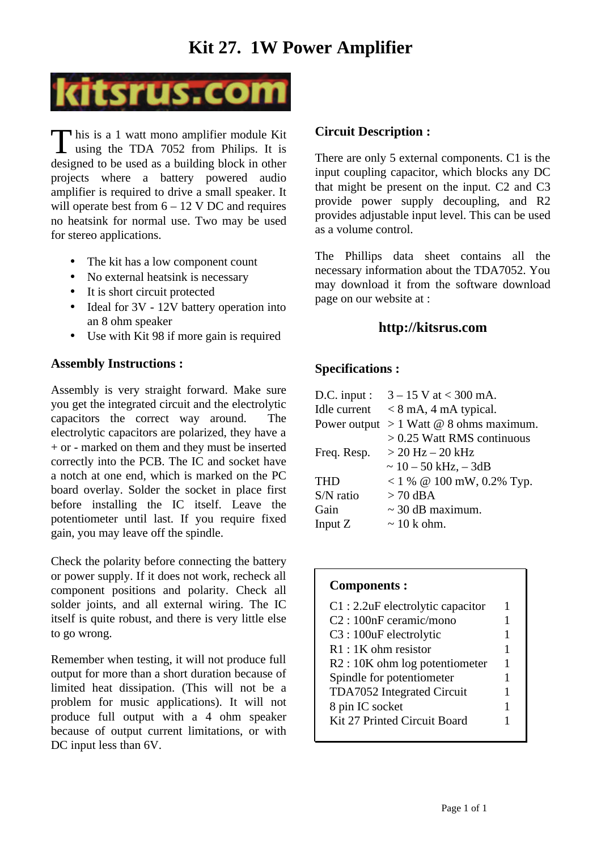## **Kit 27. 1W Power Amplifier**



 $\Box$  his is a 1 watt mono amplifier module Kit This is a 1 watt mono amplifier module Kit<br>using the TDA 7052 from Philips. It is designed to be used as a building block in other projects where a battery powered audio amplifier is required to drive a small speaker. It will operate best from  $6 - 12$  V DC and requires no heatsink for normal use. Two may be used for stereo applications.

- The kit has a low component count
- No external heatsink is necessary
- It is short circuit protected
- Ideal for 3V 12V battery operation into an 8 ohm speaker
- Use with Kit 98 if more gain is required

#### **Assembly Instructions :**

Assembly is very straight forward. Make sure you get the integrated circuit and the electrolytic capacitors the correct way around. The electrolytic capacitors are polarized, they have a + or - marked on them and they must be inserted correctly into the PCB. The IC and socket have a notch at one end, which is marked on the PC board overlay. Solder the socket in place first before installing the IC itself. Leave the potentiometer until last. If you require fixed gain, you may leave off the spindle.

Check the polarity before connecting the battery or power supply. If it does not work, recheck all component positions and polarity. Check all solder joints, and all external wiring. The IC itself is quite robust, and there is very little else to go wrong.

Remember when testing, it will not produce full output for more than a short duration because of limited heat dissipation. (This will not be a problem for music applications). It will not produce full output with a 4 ohm speaker because of output current limitations, or with DC input less than 6V.

#### **Circuit Description :**

There are only 5 external components. C1 is the input coupling capacitor, which blocks any DC that might be present on the input. C2 and C3 provide power supply decoupling, and R2 provides adjustable input level. This can be used as a volume control.

The Phillips data sheet contains all the necessary information about the TDA7052. You may download it from the software download page on our website at :

#### **http://kitsrus.com**

### **Specifications :**

| $D.C.$ input : | $3 - 15$ V at < 300 mA.      |
|----------------|------------------------------|
| Idle current   | $< 8$ mA, 4 mA typical.      |
| Power output   | $> 1$ Watt @ 8 ohms maximum. |
|                | $> 0.25$ Watt RMS continuous |
| Freq. Resp.    | > 20 Hz – 20 kHz             |
|                | $\sim 10 - 50$ kHz, $- 3$ dB |
| <b>THD</b>     | < 1 % @ 100 mW, 0.2% Typ.    |
| $S/N$ ratio    | $>70$ dBA                    |
| Gain           | $\sim$ 30 dB maximum.        |
| Input Z        | $\sim$ 10 k ohm.             |
|                |                              |

#### **Components :**

| $C1:2.2$ uF electrolytic capacitor<br>C <sub>2</sub> : 100nF ceramic/mono<br>C3:100uF electrolytic<br>$R1:1K$ ohm resistor<br>$R2:10K$ ohm log potentiometer<br>Spindle for potentiometer<br>TDA7052 Integrated Circuit | 1<br>1<br>1<br>1<br>1<br>1<br>1 |
|-------------------------------------------------------------------------------------------------------------------------------------------------------------------------------------------------------------------------|---------------------------------|
| 8 pin IC socket<br>Kit 27 Printed Circuit Board                                                                                                                                                                         |                                 |
|                                                                                                                                                                                                                         |                                 |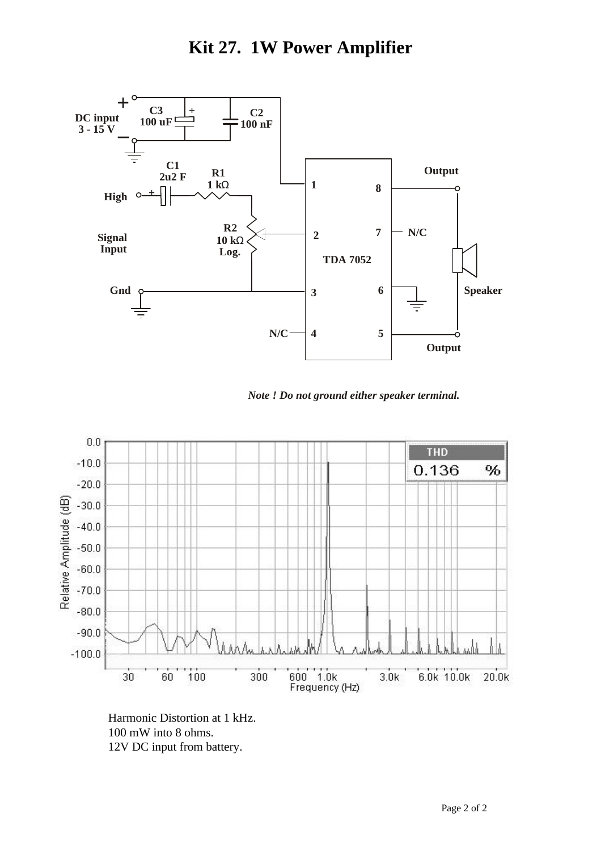## **Kit 27. 1W Power Amplifier**



*Note ! Do not ground either speaker terminal.*



Harmonic Distortion at 1 kHz. 100 mW into 8 ohms. 12V DC input from battery.